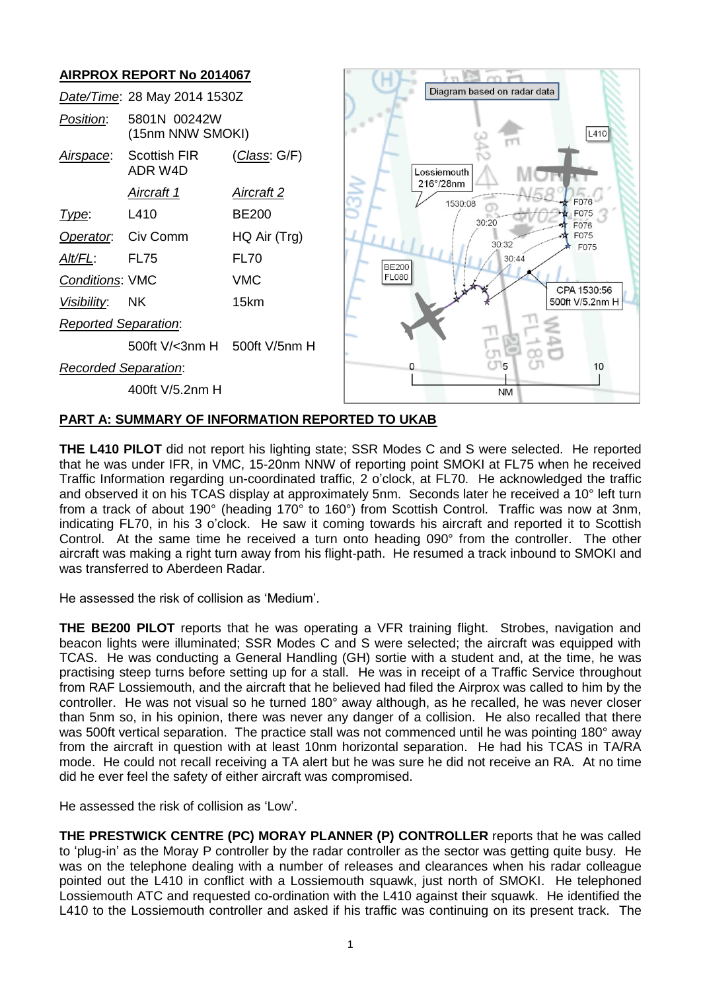#### **AIRPROX REPORT No 2014067** Diagram based on radar data *Date/Time*: 28 May 2014 1530Z *Position*: 5801N 00242W (15nm NNW SMOKI) L410 *Airspace*: Scottish FIR (*Class*: G/F) ADR W4D Lossiemouth 216°/28nm *Aircraft 1 Aircraft 2*  $1530.08$ F076 F075 *Type*: L410 BE200  $30:20$ F076 F075 *Operator*: Civ Comm HQ Air (Trg) 30:32 E075 *Alt/FL*: FL75 FL70  $30:44$ **BE200 FL080** *Conditions*: VMC VMC CPA 1530:56 *Visibility*: NK 15km 500ft V/5.2nm H *Reported Separation*: 500ft V/<3nm H 500ft V/5nm H *Recorded Separation*:  $\overline{5}$  $10$  $\overline{\phantom{a}}$ 400ft V/5.2nm H **NM**

# **PART A: SUMMARY OF INFORMATION REPORTED TO UKAB**

**THE L410 PILOT** did not report his lighting state; SSR Modes C and S were selected. He reported that he was under IFR, in VMC, 15-20nm NNW of reporting point SMOKI at FL75 when he received Traffic Information regarding un-coordinated traffic, 2 o'clock, at FL70. He acknowledged the traffic and observed it on his TCAS display at approximately 5nm. Seconds later he received a 10° left turn from a track of about 190° (heading 170° to 160°) from Scottish Control. Traffic was now at 3nm, indicating FL70, in his 3 o'clock. He saw it coming towards his aircraft and reported it to Scottish Control. At the same time he received a turn onto heading 090° from the controller. The other aircraft was making a right turn away from his flight-path. He resumed a track inbound to SMOKI and was transferred to Aberdeen Radar.

He assessed the risk of collision as 'Medium'.

**THE BE200 PILOT** reports that he was operating a VFR training flight. Strobes, navigation and beacon lights were illuminated; SSR Modes C and S were selected; the aircraft was equipped with TCAS. He was conducting a General Handling (GH) sortie with a student and, at the time, he was practising steep turns before setting up for a stall. He was in receipt of a Traffic Service throughout from RAF Lossiemouth, and the aircraft that he believed had filed the Airprox was called to him by the controller. He was not visual so he turned 180° away although, as he recalled, he was never closer than 5nm so, in his opinion, there was never any danger of a collision. He also recalled that there was 500ft vertical separation. The practice stall was not commenced until he was pointing 180° away from the aircraft in question with at least 10nm horizontal separation. He had his TCAS in TA/RA mode. He could not recall receiving a TA alert but he was sure he did not receive an RA. At no time did he ever feel the safety of either aircraft was compromised.

He assessed the risk of collision as 'Low'.

**THE PRESTWICK CENTRE (PC) MORAY PLANNER (P) CONTROLLER** reports that he was called to 'plug-in' as the Moray P controller by the radar controller as the sector was getting quite busy. He was on the telephone dealing with a number of releases and clearances when his radar colleague pointed out the L410 in conflict with a Lossiemouth squawk, just north of SMOKI. He telephoned Lossiemouth ATC and requested co-ordination with the L410 against their squawk. He identified the L410 to the Lossiemouth controller and asked if his traffic was continuing on its present track. The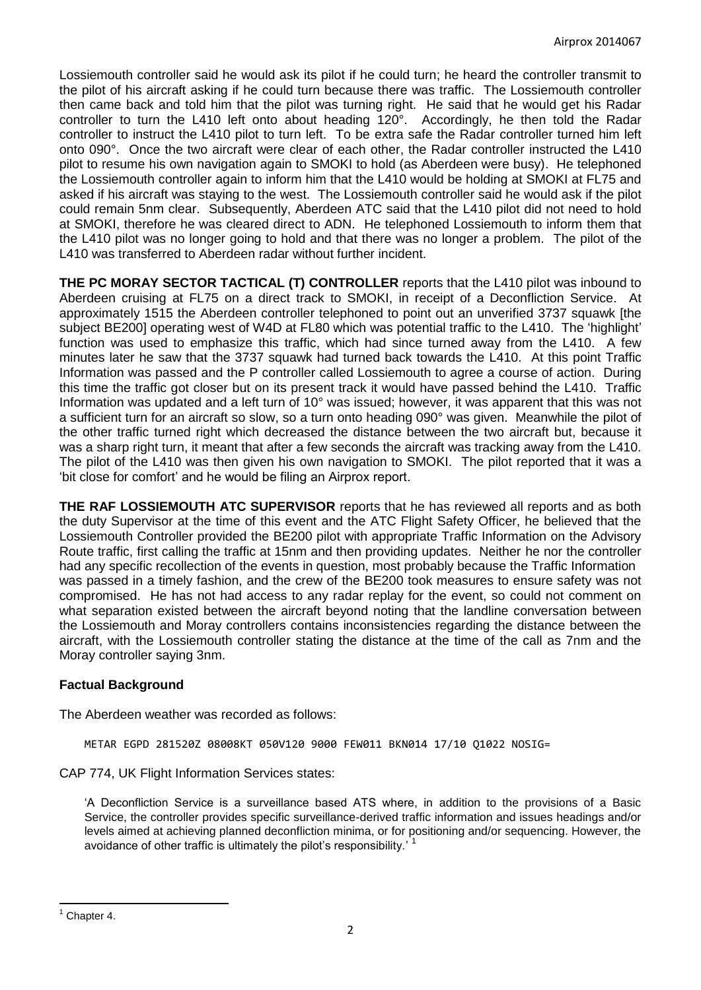Lossiemouth controller said he would ask its pilot if he could turn; he heard the controller transmit to the pilot of his aircraft asking if he could turn because there was traffic. The Lossiemouth controller then came back and told him that the pilot was turning right. He said that he would get his Radar controller to turn the L410 left onto about heading 120°. Accordingly, he then told the Radar controller to instruct the L410 pilot to turn left. To be extra safe the Radar controller turned him left onto 090°. Once the two aircraft were clear of each other, the Radar controller instructed the L410 pilot to resume his own navigation again to SMOKI to hold (as Aberdeen were busy). He telephoned the Lossiemouth controller again to inform him that the L410 would be holding at SMOKI at FL75 and asked if his aircraft was staying to the west. The Lossiemouth controller said he would ask if the pilot could remain 5nm clear. Subsequently, Aberdeen ATC said that the L410 pilot did not need to hold at SMOKI, therefore he was cleared direct to ADN. He telephoned Lossiemouth to inform them that the L410 pilot was no longer going to hold and that there was no longer a problem. The pilot of the L410 was transferred to Aberdeen radar without further incident.

**THE PC MORAY SECTOR TACTICAL (T) CONTROLLER** reports that the L410 pilot was inbound to Aberdeen cruising at FL75 on a direct track to SMOKI, in receipt of a Deconfliction Service. At approximately 1515 the Aberdeen controller telephoned to point out an unverified 3737 squawk [the subject BE200] operating west of W4D at FL80 which was potential traffic to the L410. The 'highlight' function was used to emphasize this traffic, which had since turned away from the L410. A few minutes later he saw that the 3737 squawk had turned back towards the L410. At this point Traffic Information was passed and the P controller called Lossiemouth to agree a course of action. During this time the traffic got closer but on its present track it would have passed behind the L410. Traffic Information was updated and a left turn of 10° was issued; however, it was apparent that this was not a sufficient turn for an aircraft so slow, so a turn onto heading 090° was given. Meanwhile the pilot of the other traffic turned right which decreased the distance between the two aircraft but, because it was a sharp right turn, it meant that after a few seconds the aircraft was tracking away from the L410. The pilot of the L410 was then given his own navigation to SMOKI. The pilot reported that it was a 'bit close for comfort' and he would be filing an Airprox report.

**THE RAF LOSSIEMOUTH ATC SUPERVISOR** reports that he has reviewed all reports and as both the duty Supervisor at the time of this event and the ATC Flight Safety Officer, he believed that the Lossiemouth Controller provided the BE200 pilot with appropriate Traffic Information on the Advisory Route traffic, first calling the traffic at 15nm and then providing updates. Neither he nor the controller had any specific recollection of the events in question, most probably because the Traffic Information was passed in a timely fashion, and the crew of the BE200 took measures to ensure safety was not compromised. He has not had access to any radar replay for the event, so could not comment on what separation existed between the aircraft beyond noting that the landline conversation between the Lossiemouth and Moray controllers contains inconsistencies regarding the distance between the aircraft, with the Lossiemouth controller stating the distance at the time of the call as 7nm and the Moray controller saying 3nm.

# **Factual Background**

The Aberdeen weather was recorded as follows:

METAR EGPD 281520Z 08008KT 050V120 9000 FEW011 BKN014 17/10 Q1022 NOSIG=

CAP 774, UK Flight Information Services states:

'A Deconfliction Service is a surveillance based ATS where, in addition to the provisions of a Basic Service, the controller provides specific surveillance-derived traffic information and issues headings and/or levels aimed at achieving planned deconfliction minima, or for positioning and/or sequencing. However, the avoidance of other traffic is ultimately the pilot's responsibility.' 1

 $\overline{\phantom{a}}$  $1$  Chapter 4.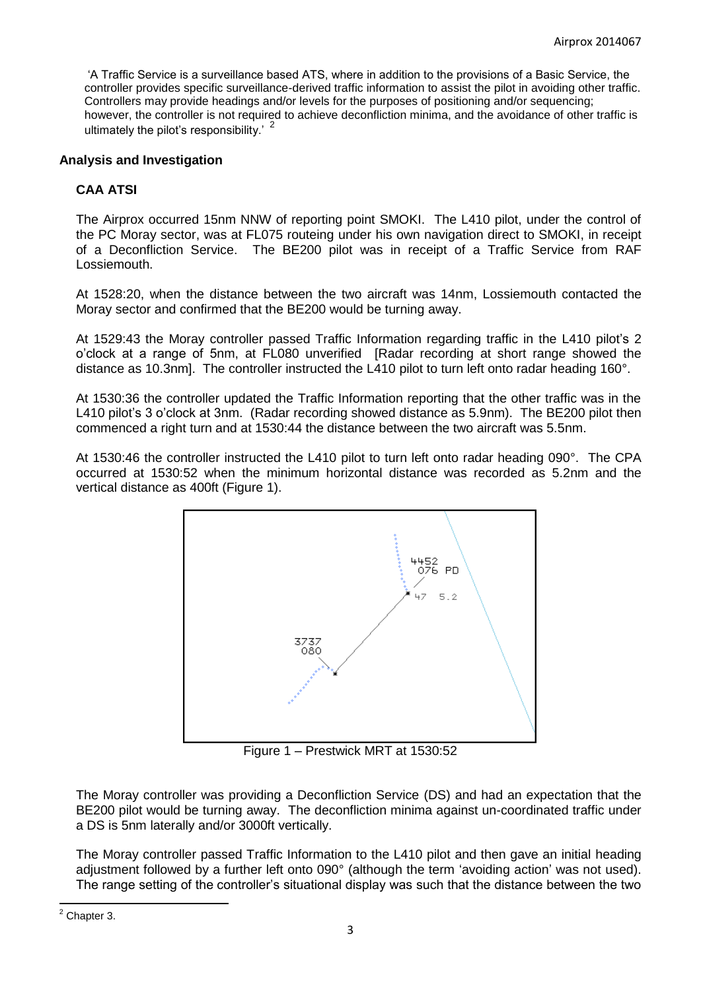'A Traffic Service is a surveillance based ATS, where in addition to the provisions of a Basic Service, the controller provides specific surveillance-derived traffic information to assist the pilot in avoiding other traffic. Controllers may provide headings and/or levels for the purposes of positioning and/or sequencing; however, the controller is not required to achieve deconfliction minima, and the avoidance of other traffic is ultimately the pilot's responsibility.<sup>2</sup>

## **Analysis and Investigation**

# **CAA ATSI**

The Airprox occurred 15nm NNW of reporting point SMOKI. The L410 pilot, under the control of the PC Moray sector, was at FL075 routeing under his own navigation direct to SMOKI, in receipt of a Deconfliction Service. The BE200 pilot was in receipt of a Traffic Service from RAF Lossiemouth.

At 1528:20, when the distance between the two aircraft was 14nm, Lossiemouth contacted the Moray sector and confirmed that the BE200 would be turning away.

At 1529:43 the Moray controller passed Traffic Information regarding traffic in the L410 pilot's 2 o'clock at a range of 5nm, at FL080 unverified [Radar recording at short range showed the distance as 10.3nm]. The controller instructed the L410 pilot to turn left onto radar heading 160°.

At 1530:36 the controller updated the Traffic Information reporting that the other traffic was in the L410 pilot's 3 o'clock at 3nm. (Radar recording showed distance as 5.9nm). The BE200 pilot then commenced a right turn and at 1530:44 the distance between the two aircraft was 5.5nm.

At 1530:46 the controller instructed the L410 pilot to turn left onto radar heading 090°. The CPA occurred at 1530:52 when the minimum horizontal distance was recorded as 5.2nm and the vertical distance as 400ft (Figure 1).



Figure 1 – Prestwick MRT at 1530:52

The Moray controller was providing a Deconfliction Service (DS) and had an expectation that the BE200 pilot would be turning away. The deconfliction minima against un-coordinated traffic under a DS is 5nm laterally and/or 3000ft vertically.

The Moray controller passed Traffic Information to the L410 pilot and then gave an initial heading adjustment followed by a further left onto 090° (although the term 'avoiding action' was not used). The range setting of the controller's situational display was such that the distance between the two

 $\overline{\phantom{a}}$  $<sup>2</sup>$  Chapter 3.</sup>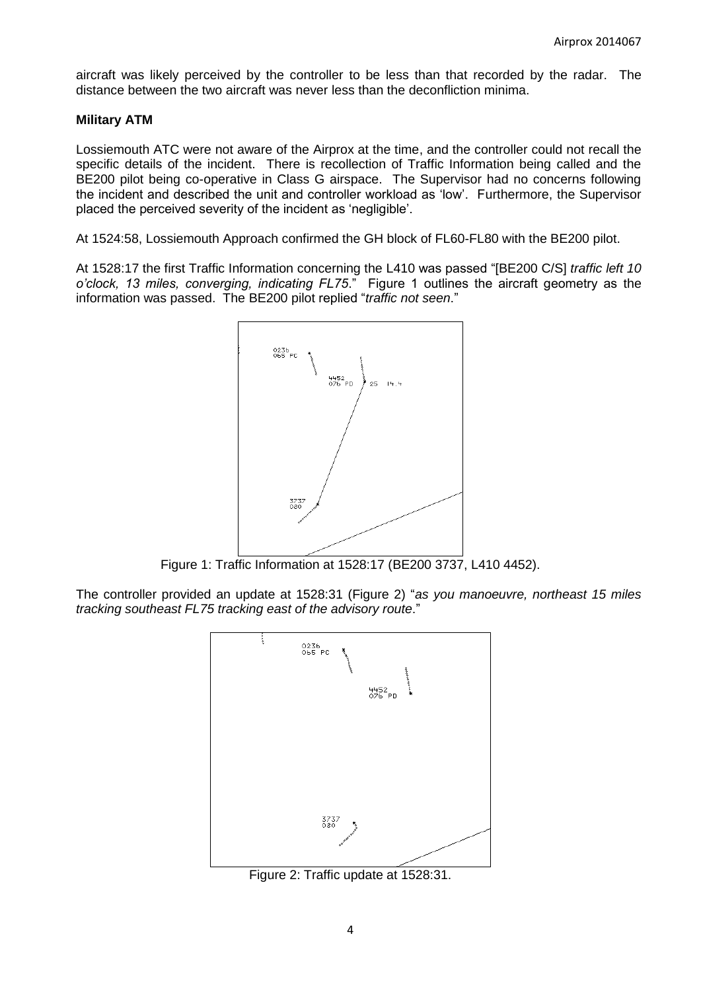aircraft was likely perceived by the controller to be less than that recorded by the radar. The distance between the two aircraft was never less than the deconfliction minima.

## **Military ATM**

Lossiemouth ATC were not aware of the Airprox at the time, and the controller could not recall the specific details of the incident. There is recollection of Traffic Information being called and the BE200 pilot being co-operative in Class G airspace. The Supervisor had no concerns following the incident and described the unit and controller workload as 'low'. Furthermore, the Supervisor placed the perceived severity of the incident as 'negligible'.

At 1524:58, Lossiemouth Approach confirmed the GH block of FL60-FL80 with the BE200 pilot.

At 1528:17 the first Traffic Information concerning the L410 was passed "[BE200 C/S] *traffic left 10 o'clock, 13 miles, converging, indicating FL75*." Figure 1 outlines the aircraft geometry as the information was passed. The BE200 pilot replied "*traffic not seen*."



Figure 1: Traffic Information at 1528:17 (BE200 3737, L410 4452).

The controller provided an update at 1528:31 (Figure 2) "*as you manoeuvre, northeast 15 miles tracking southeast FL75 tracking east of the advisory route*."



Figure 2: Traffic update at 1528:31.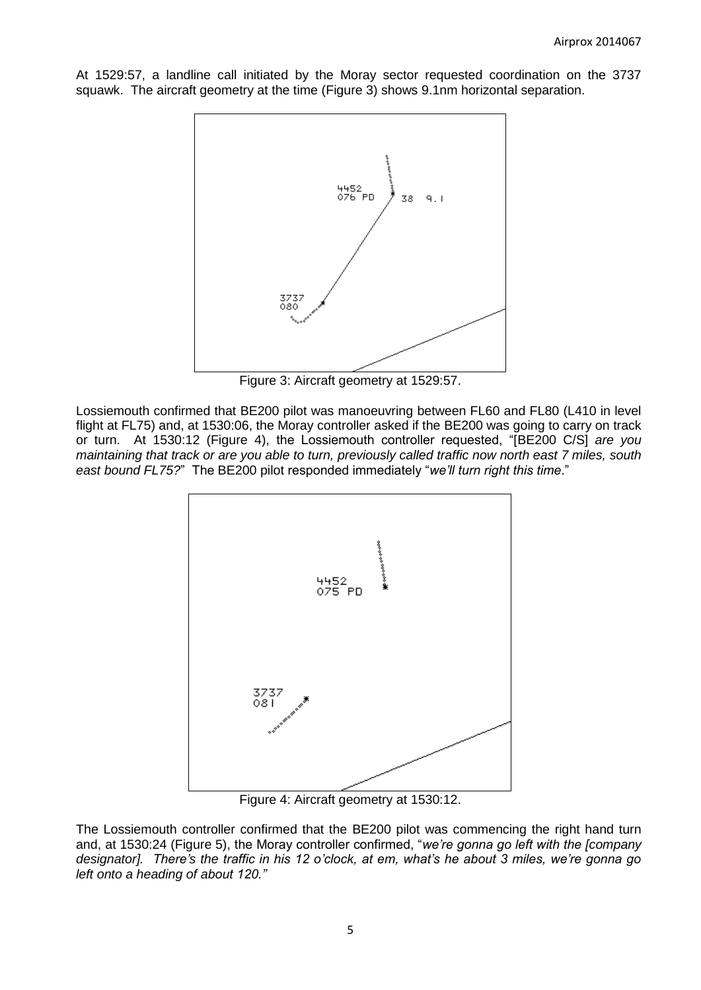At 1529:57, a landline call initiated by the Moray sector requested coordination on the 3737 squawk. The aircraft geometry at the time (Figure 3) shows 9.1nm horizontal separation.



Figure 3: Aircraft geometry at 1529:57.

Lossiemouth confirmed that BE200 pilot was manoeuvring between FL60 and FL80 (L410 in level flight at FL75) and, at 1530:06, the Moray controller asked if the BE200 was going to carry on track or turn. At 1530:12 (Figure 4), the Lossiemouth controller requested, "[BE200 C/S] *are you maintaining that track or are you able to turn, previously called traffic now north east 7 miles, south east bound FL75?*" The BE200 pilot responded immediately "*we'll turn right this time*."



Figure 4: Aircraft geometry at 1530:12.

The Lossiemouth controller confirmed that the BE200 pilot was commencing the right hand turn and, at 1530:24 (Figure 5), the Moray controller confirmed, "*we're gonna go left with the [company designator]. There's the traffic in his 12 o'clock, at em, what's he about 3 miles, we're gonna go left onto a heading of about 120."*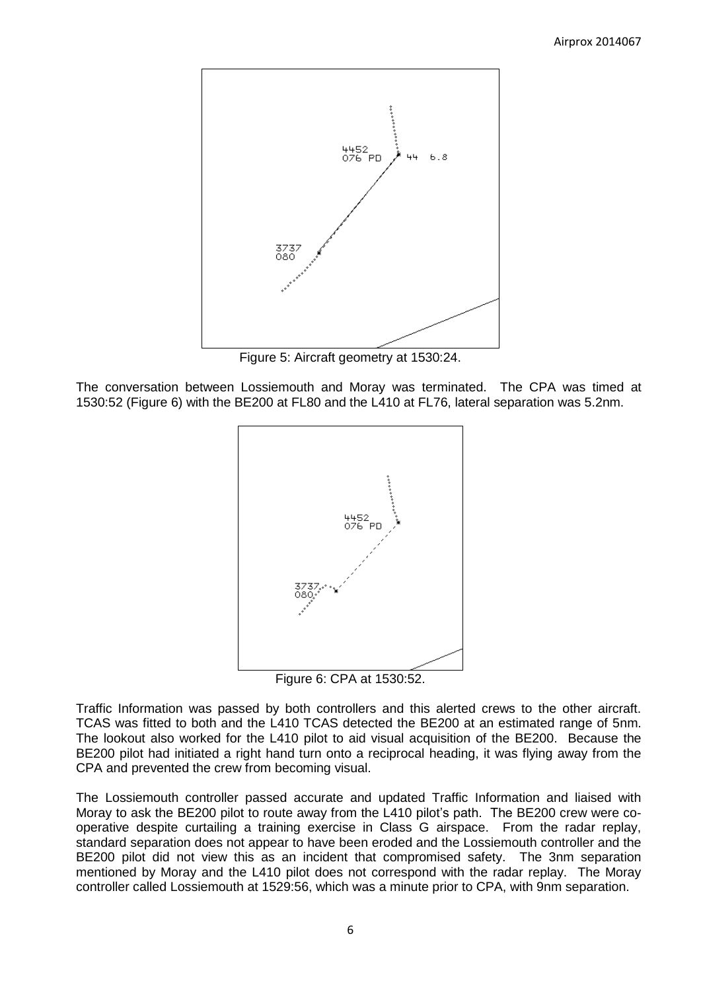

Figure 5: Aircraft geometry at 1530:24.

The conversation between Lossiemouth and Moray was terminated. The CPA was timed at 1530:52 (Figure 6) with the BE200 at FL80 and the L410 at FL76, lateral separation was 5.2nm.



Traffic Information was passed by both controllers and this alerted crews to the other aircraft. TCAS was fitted to both and the L410 TCAS detected the BE200 at an estimated range of 5nm. The lookout also worked for the L410 pilot to aid visual acquisition of the BE200. Because the BE200 pilot had initiated a right hand turn onto a reciprocal heading, it was flying away from the CPA and prevented the crew from becoming visual.

The Lossiemouth controller passed accurate and updated Traffic Information and liaised with Moray to ask the BE200 pilot to route away from the L410 pilot's path. The BE200 crew were cooperative despite curtailing a training exercise in Class G airspace. From the radar replay, standard separation does not appear to have been eroded and the Lossiemouth controller and the BE200 pilot did not view this as an incident that compromised safety. The 3nm separation mentioned by Moray and the L410 pilot does not correspond with the radar replay. The Moray controller called Lossiemouth at 1529:56, which was a minute prior to CPA, with 9nm separation.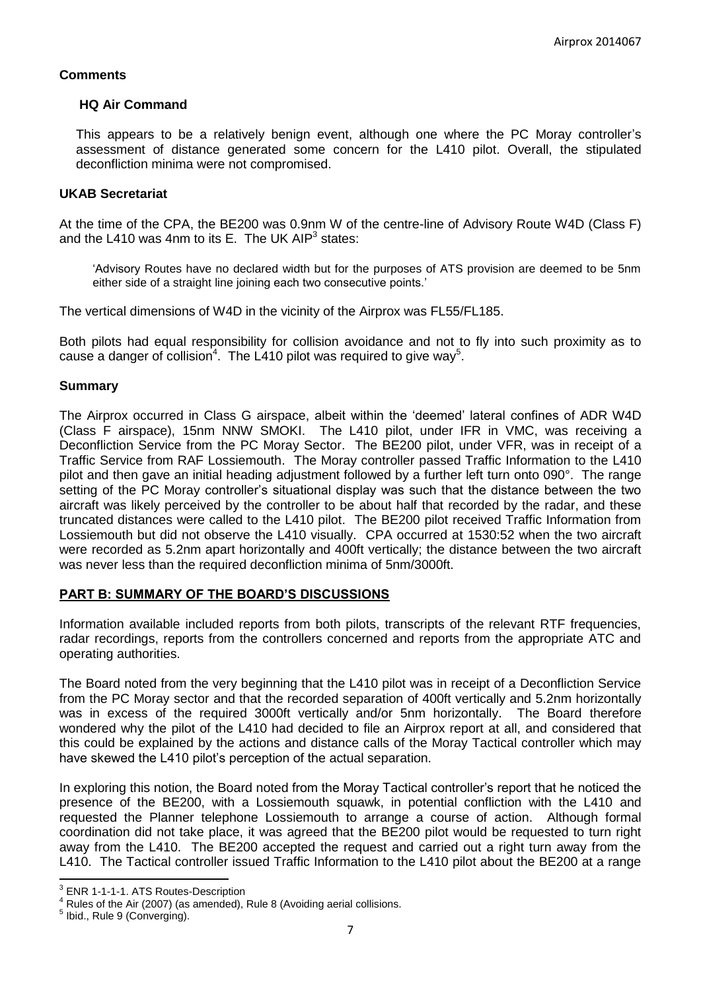## **Comments**

#### **HQ Air Command**

This appears to be a relatively benign event, although one where the PC Moray controller's assessment of distance generated some concern for the L410 pilot. Overall, the stipulated deconfliction minima were not compromised.

#### **UKAB Secretariat**

At the time of the CPA, the BE200 was 0.9nm W of the centre-line of Advisory Route W4D (Class F) and the L410 was 4nm to its E. The UK AIP<sup>3</sup> states:

'Advisory Routes have no declared width but for the purposes of ATS provision are deemed to be 5nm either side of a straight line joining each two consecutive points.'

The vertical dimensions of W4D in the vicinity of the Airprox was FL55/FL185.

Both pilots had equal responsibility for collision avoidance and not to fly into such proximity as to cause a danger of collision<sup>4</sup>. The L410 pilot was required to give way<sup>5</sup>.

#### **Summary**

The Airprox occurred in Class G airspace, albeit within the 'deemed' lateral confines of ADR W4D (Class F airspace), 15nm NNW SMOKI. The L410 pilot, under IFR in VMC, was receiving a Deconfliction Service from the PC Moray Sector. The BE200 pilot, under VFR, was in receipt of a Traffic Service from RAF Lossiemouth. The Moray controller passed Traffic Information to the L410 pilot and then gave an initial heading adjustment followed by a further left turn onto 090°. The range setting of the PC Moray controller's situational display was such that the distance between the two aircraft was likely perceived by the controller to be about half that recorded by the radar, and these truncated distances were called to the L410 pilot. The BE200 pilot received Traffic Information from Lossiemouth but did not observe the L410 visually. CPA occurred at 1530:52 when the two aircraft were recorded as 5.2nm apart horizontally and 400ft vertically; the distance between the two aircraft was never less than the required deconfliction minima of 5nm/3000ft.

## **PART B: SUMMARY OF THE BOARD'S DISCUSSIONS**

Information available included reports from both pilots, transcripts of the relevant RTF frequencies, radar recordings, reports from the controllers concerned and reports from the appropriate ATC and operating authorities.

The Board noted from the very beginning that the L410 pilot was in receipt of a Deconfliction Service from the PC Moray sector and that the recorded separation of 400ft vertically and 5.2nm horizontally was in excess of the required 3000ft vertically and/or 5nm horizontally. The Board therefore wondered why the pilot of the L410 had decided to file an Airprox report at all, and considered that this could be explained by the actions and distance calls of the Moray Tactical controller which may have skewed the L410 pilot's perception of the actual separation.

In exploring this notion, the Board noted from the Moray Tactical controller's report that he noticed the presence of the BE200, with a Lossiemouth squawk, in potential confliction with the L410 and requested the Planner telephone Lossiemouth to arrange a course of action. Although formal coordination did not take place, it was agreed that the BE200 pilot would be requested to turn right away from the L410. The BE200 accepted the request and carried out a right turn away from the L410. The Tactical controller issued Traffic Information to the L410 pilot about the BE200 at a range

 3 ENR 1-1-1-1. ATS Routes-Description

Rules of the Air (2007) (as amended), Rule 8 (Avoiding aerial collisions.

<sup>&</sup>lt;sup>5</sup> Ibid., Rule 9 (Converging).